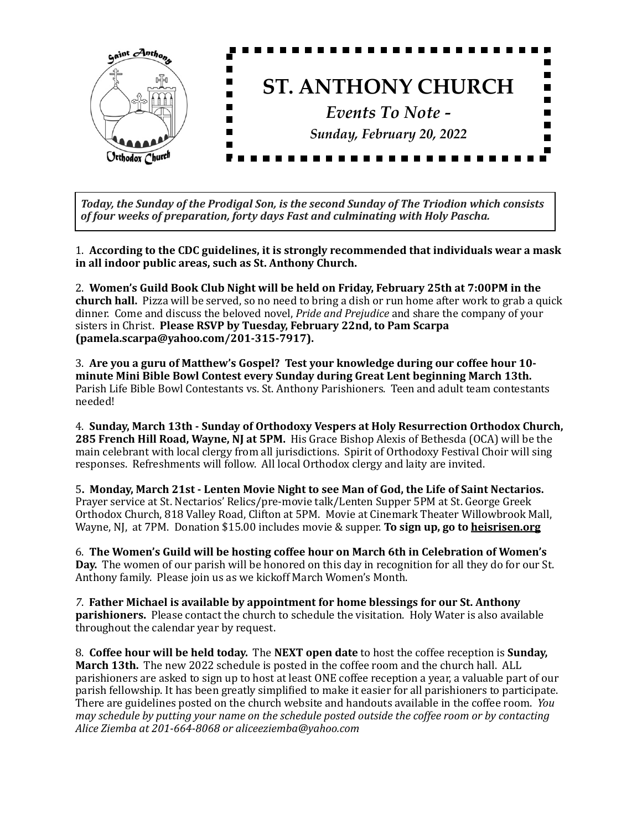

Today, the Sunday of the Prodigal Son, is the second Sunday of The Triodion which consists of four weeks of preparation, forty days Fast and culminating with Holy Pascha.

1. According to the CDC guidelines, it is strongly recommended that individuals wear a mask in all indoor public areas, such as St. Anthony Church.

2. Women's Guild Book Club Night will be held on Friday, February 25th at 7:00PM in the **church hall.** Pizza will be served, so no need to bring a dish or run home after work to grab a quick dinner. Come and discuss the beloved novel, *Pride and Prejudice* and share the company of your sisters in Christ. Please RSVP by Tuesday, February 22nd, to Pam Scarpa **(pamela.scarpa@yahoo.com/201-315-7917).**

3. Are you a guru of Matthew's Gospel? Test your knowledge during our coffee hour 10minute Mini Bible Bowl Contest every Sunday during Great Lent beginning March 13th. Parish Life Bible Bowl Contestants vs. St. Anthony Parishioners. Teen and adult team contestants needed!

4. Sunday, March 13th - Sunday of Orthodoxy Vespers at Holy Resurrection Orthodox Church, **285 French Hill Road, Wayne, NJ at 5PM.** His Grace Bishop Alexis of Bethesda (OCA) will be the main celebrant with local clergy from all jurisdictions. Spirit of Orthodoxy Festival Choir will sing responses. Refreshments will follow. All local Orthodox clergy and laity are invited.

5. Monday, March 21st - Lenten Movie Night to see Man of God, the Life of Saint Nectarios. Prayer service at St. Nectarios' Relics/pre-movie talk/Lenten Supper 5PM at St. George Greek Orthodox Church, 818 Valley Road, Clifton at 5PM. Movie at Cinemark Theater Willowbrook Mall, Wayne, NJ, at 7PM. Donation \$15.00 includes movie & supper. **To sign up, go to heisrisen.org** 

6. The Women's Guild will be hosting coffee hour on March 6th in Celebration of Women's **Day.** The women of our parish will be honored on this day in recognition for all they do for our St. Anthony family. Please join us as we kickoff March Women's Month.

7. Father Michael is available by appointment for home blessings for our St. Anthony **parishioners.** Please contact the church to schedule the visitation. Holy Water is also available throughout the calendar year by request.

8. **Coffee hour will be held today.** The **NEXT open date** to host the coffee reception is **Sunday**, **March 13th.** The new 2022 schedule is posted in the coffee room and the church hall. ALL parishioners are asked to sign up to host at least ONE coffee reception a year, a valuable part of our parish fellowship. It has been greatly simplified to make it easier for all parishioners to participate. There are guidelines posted on the church website and handouts available in the coffee room. *You may* schedule by putting your name on the schedule posted outside the coffee room or by contacting *Alice Ziemba at 201-664-8068 or aliceeziemba@yahoo.com*